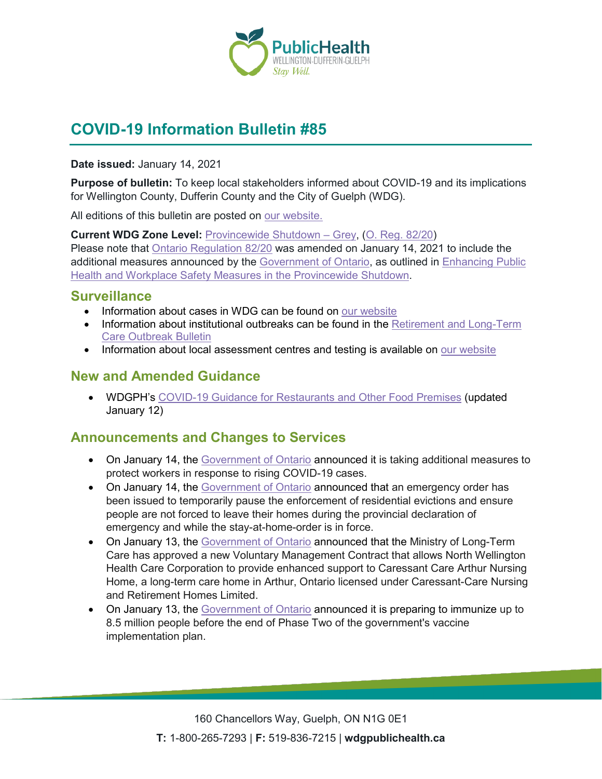

# **COVID-19 Information Bulletin #85**

**Date issued:** January 14, 2021

**Purpose of bulletin:** To keep local stakeholders informed about COVID-19 and its implications for Wellington County, Dufferin County and the City of Guelph (WDG).

All editions of this bulletin are posted on [our website.](https://www.wdgpublichealth.ca/your-health/covid-19-information-workplaces-and-living-spaces/community-stakeholder-bulletins)

**Current WDG Zone Level:** [Provincewide Shutdown –](https://www.ontario.ca/page/covid-19-provincewide-shutdown) Grey, (O. Reg. [82/20\)](https://www.ontario.ca/laws/regulation/200082) Please note that [Ontario Regulation 82/20](https://www.ontario.ca/laws/regulation/200082) was amended on January 14, 2021 to include the additional measures announced by the [Government](https://news.ontario.ca/en/release/59922/ontario-declares-second-provincial-emergency-to-address-covid-19-crisis-and-save-lives) of Ontario, as outlined in [Enhancing Public](https://files.ontario.ca/moh-enhanced-provincewide-shutdown-en-2021-01-12-v3.pdf)  [Health and Workplace Safety Measures in the Provincewide](https://files.ontario.ca/moh-enhanced-provincewide-shutdown-en-2021-01-12-v3.pdf) Shutdown.

#### **Surveillance**

- Information about cases in WDG can be found on [our website](https://wdgpublichealth.ca/your-health/covid-19-information-public/status-cases-wdg)
- Information about institutional outbreaks can be found in the Retirement and Long-Term [Care Outbreak Bulletin](https://wdgpublichealth.ca/node/1542)
- Information about local assessment centres and testing is available on [our website](https://www.wdgpublichealth.ca/your-health/covid-19-information-public/assessment-centres-wdg)

### **New and Amended Guidance**

• WDGPH's [COVID-19 Guidance for Restaurants and](https://www.wdgpublichealth.ca/sites/default/files/covid-19_guidance_restaurants_and_other_food_premises_-_grey-shutdown_0.pdf) Other Food Premises (updated January 12)

### **Announcements and Changes to Services**

- On January 14, the [Government of Ontario](https://news.ontario.ca/en/release/59948/ontario-increasing-workplace-inspections-during-covid-19) announced it is taking additional measures to protect workers in response to rising COVID-19 cases.
- On January 14, the [Government of Ontario](https://news.ontario.ca/en/release/59947/ontario-temporarily-pauses-residential-evictions) announced that an emergency order has been issued to temporarily pause the enforcement of residential evictions and ensure people are not forced to leave their homes during the provincial declaration of emergency and while the stay-at-home-order is in force.
- On January 13, the [Government of Ontario](https://news.ontario.ca/en/release/59940/ontario-supports-management-agreement-between-north-wellington-health-care-corporation-and-caressant) announced that the Ministry of Long-Term Care has approved a new Voluntary Management Contract that allows North Wellington Health Care Corporation to provide enhanced support to Caressant Care Arthur Nursing Home, a long-term care home in Arthur, Ontario licensed under Caressant-Care Nursing and Retirement Homes Limited.
- On January 13, the [Government of Ontario](https://news.ontario.ca/en/release/59934/ontario-to-vaccinate-up-to-85-million-people-in-phase-two) announced it is preparing to immunize up to 8.5 million people before the end of Phase Two of the government's vaccine implementation plan.